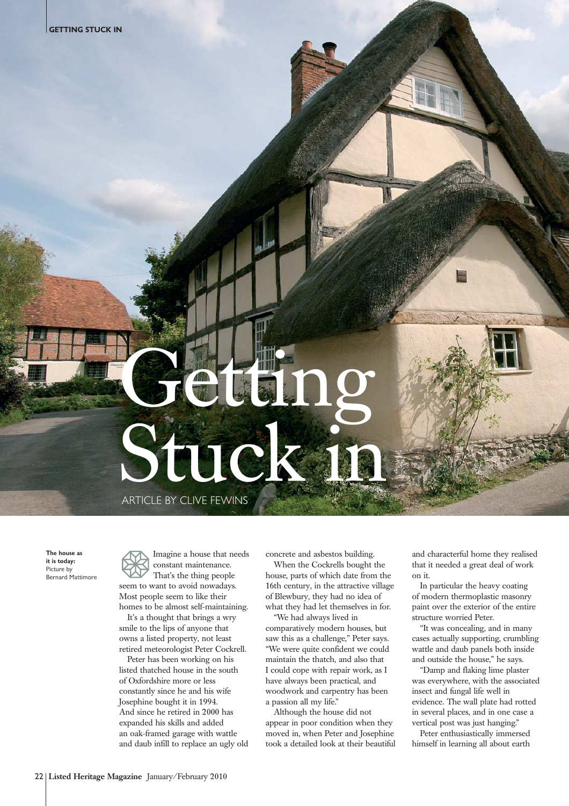## Geting Stuck

ARTICLE BY CLIVE FEWINS

**The house as it is today:**  Picture by Bernard Mattimore Imagine a house that needs constant maintenance. That's the thing people

seem to want to avoid nowadays. Most people seem to like their homes to be almost self-maintaining.

It's a thought that brings a wry smile to the lips of anyone that owns a listed property, not least retired meteorologist Peter Cockrell.

Peter has been working on his listed thatched house in the south of Oxfordshire more or less constantly since he and his wife Josephine bought it in 1994. And since he retired in 2000 has expanded his skills and added an oak-framed garage with wattle and daub infill to replace an ugly old concrete and asbestos building.

When the Cockrells bought the house, parts of which date from the 16th century, in the attractive village of Blewbury, they had no idea of what they had let themselves in for.

"We had always lived in comparatively modern houses, but saw this as a challenge," Peter says. "We were quite confident we could maintain the thatch, and also that I could cope with repair work, as I have always been practical, and woodwork and carpentry has been a passion all my life."

Although the house did not appear in poor condition when they moved in, when Peter and Josephine took a detailed look at their beautiful and characterful home they realised that it needed a great deal of work on it.

In particular the heavy coating of modern thermoplastic masonry paint over the exterior of the entire structure worried Peter.

"It was concealing, and in many cases actually supporting, crumbling wattle and daub panels both inside and outside the house," he says.

"Damp and flaking lime plaster was everywhere, with the associated insect and fungal life well in evidence. The wall plate had rotted in several places, and in one case a vertical post was just hanging."

Peter enthusiastically immersed himself in learning all about earth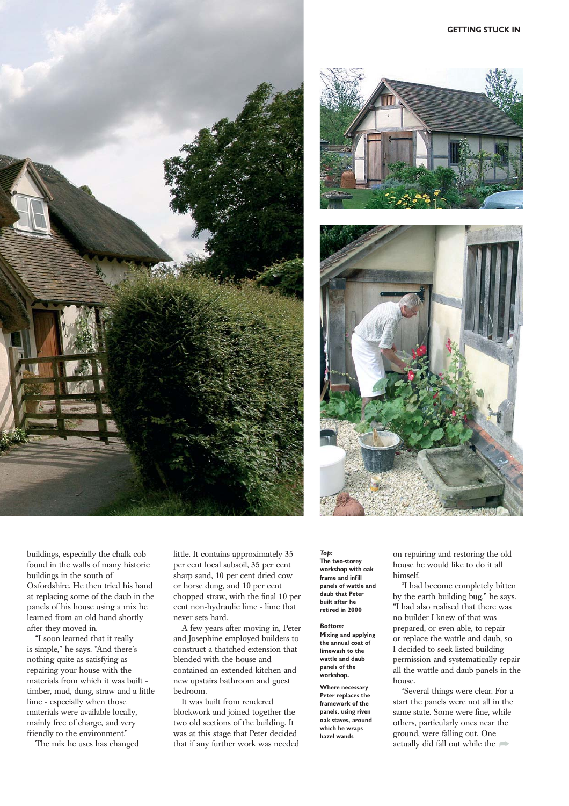





buildings, especially the chalk cob found in the walls of many historic buildings in the south of Oxfordshire. He then tried his hand at replacing some of the daub in the panels of his house using a mix he learned from an old hand shortly after they moved in.

"I soon learned that it really is simple," he says. "And there's nothing quite as satisfying as repairing your house with the materials from which it was built timber, mud, dung, straw and a little lime - especially when those materials were available locally, mainly free of charge, and very friendly to the environment."

The mix he uses has changed

little. It contains approximately 35 per cent local subsoil, 35 per cent sharp sand, 10 per cent dried cow or horse dung, and 10 per cent chopped straw, with the final 10 per cent non-hydraulic lime - lime that never sets hard.

A few years after moving in, Peter and Josephine employed builders to construct a thatched extension that blended with the house and contained an extended kitchen and new upstairs bathroom and guest bedroom.

It was built from rendered blockwork and joined together the two old sections of the building. It was at this stage that Peter decided that if any further work was needed

*Top:* **The two-storey workshop with oak frame and infill panels of wattle and daub that Peter built after he retired in 2000**

*Bottom:* **Mixing and applying the annual coat of limewash to the wattle and daub panels of the workshop.**

**Where necessary Peter replaces the framework of the panels, using riven oak staves, around which he wraps hazel wands**

on repairing and restoring the old house he would like to do it all himself.

"I had become completely bitten by the earth building bug," he says. "I had also realised that there was no builder I knew of that was prepared, or even able, to repair or replace the wattle and daub, so I decided to seek listed building permission and systematically repair all the wattle and daub panels in the house.

"Several things were clear. For a start the panels were not all in the same state. Some were fine, while others, particularly ones near the ground, were falling out. One actually did fall out while the